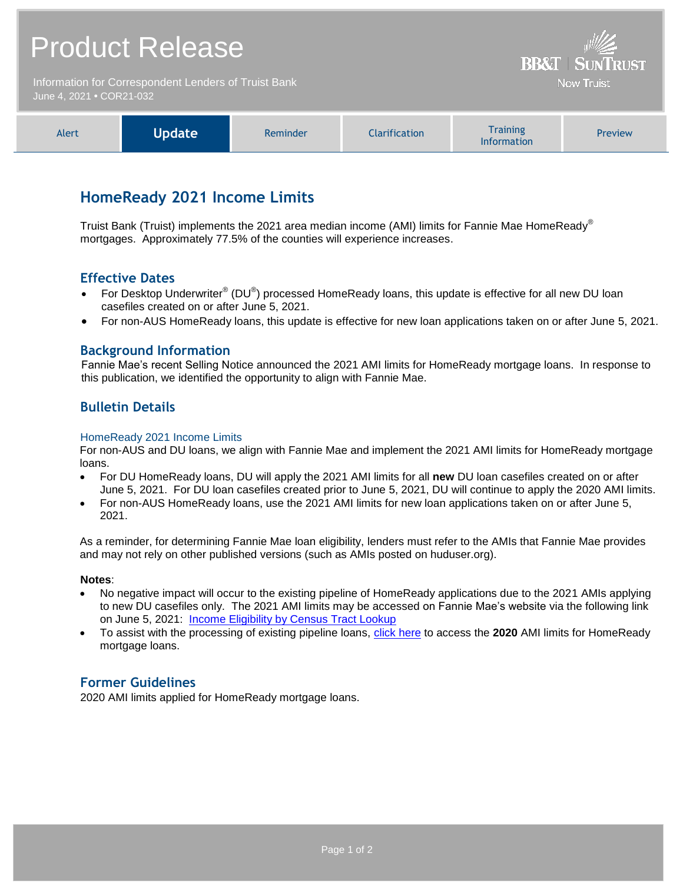# Product Release **BB&T | SUNTRUST** Information for Correspondent Lenders of Truist Bank **Now Truist** June 4, 2021 **•** COR21-032

| <b>Alert</b> | Update | Reminder | <b>Clarification</b> | <b>Training</b><br><b>Information</b> | Preview |
|--------------|--------|----------|----------------------|---------------------------------------|---------|
|--------------|--------|----------|----------------------|---------------------------------------|---------|

## **HomeReady 2021 Income Limits**

Truist Bank (Truist) implements the 2021 area median income (AMI) limits for Fannie Mae HomeReady® mortgages. Approximately 77.5% of the counties will experience increases.

### **Effective Dates**

- For Desktop Underwriter® (DU®) processed HomeReady loans, this update is effective for all new DU loan casefiles created on or after June 5, 2021.
- For non-AUS HomeReady loans, this update is effective for new loan applications taken on or after June 5, 2021.

#### **Background Information**

Fannie Mae's recent Selling Notice announced the 2021 AMI limits for HomeReady mortgage loans. In response to this publication, we identified the opportunity to align with Fannie Mae.

### **Bulletin Details**

#### HomeReady 2021 Income Limits

For non-AUS and DU loans, we align with Fannie Mae and implement the 2021 AMI limits for HomeReady mortgage loans.

- For DU HomeReady loans, DU will apply the 2021 AMI limits for all **new** DU loan casefiles created on or after June 5, 2021. For DU loan casefiles created prior to June 5, 2021, DU will continue to apply the 2020 AMI limits.
- For non-AUS HomeReady loans, use the 2021 AMI limits for new loan applications taken on or after June 5, 2021.

As a reminder, for determining Fannie Mae loan eligibility, lenders must refer to the AMIs that Fannie Mae provides and may not rely on other published versions (such as AMIs posted on huduser.org).

#### **Notes**:

- No negative impact will occur to the existing pipeline of HomeReady applications due to the 2021 AMIs applying to new DU casefiles only. The 2021 AMI limits may be accessed on Fannie Mae's website via the following link on June 5, 2021: **[Income Eligibility by Census Tract Lookup](https://www.fanniemae.com/content/eligibility_information/homeready-income-eligibility-lookup.xlsx)**
- To assist with the processing of existing pipeline loans, [click here](https://www.truistsellerguide.com/manual/cor/products/HomeReady-Income-Eligibility-Lookup%202020.xlsx) to access the **2020** AMI limits for HomeReady mortgage loans.

### **Former Guidelines**

2020 AMI limits applied for HomeReady mortgage loans.